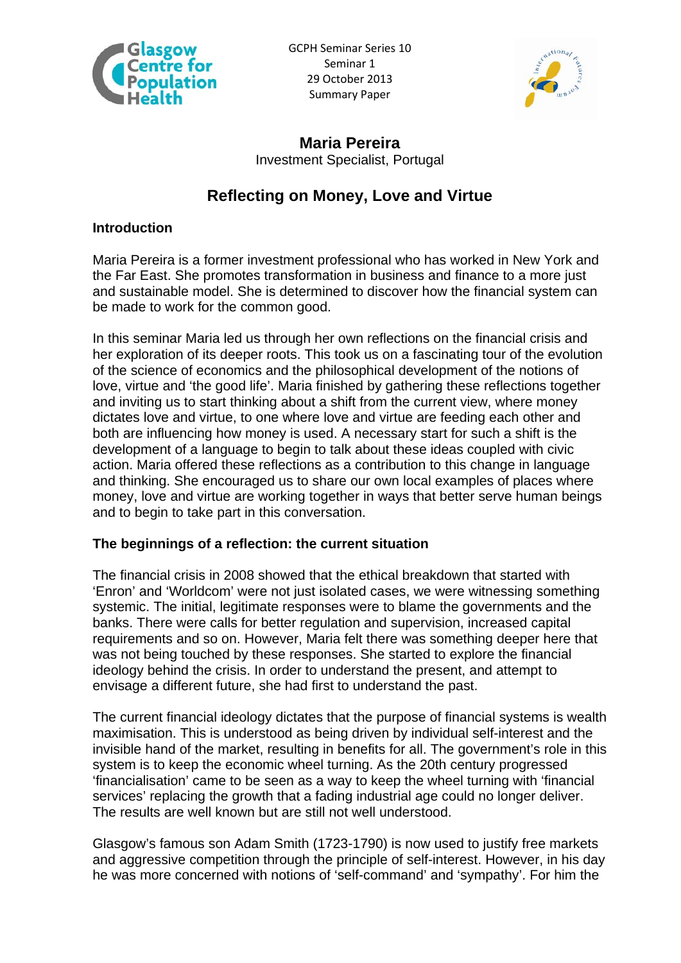

GCPH Seminar Series 10 Seminar 1 29 October 2013 Summary Paper



**Maria Pereira**  Investment Specialist, Portugal

# **Reflecting on Money, Love and Virtue**

#### **Introduction**

Maria Pereira is a former investment professional who has worked in New York and the Far East. She promotes transformation in business and finance to a more just and sustainable model. She is determined to discover how the financial system can be made to work for the common good.

In this seminar Maria led us through her own reflections on the financial crisis and her exploration of its deeper roots. This took us on a fascinating tour of the evolution of the science of economics and the philosophical development of the notions of love, virtue and 'the good life'. Maria finished by gathering these reflections together and inviting us to start thinking about a shift from the current view, where money dictates love and virtue, to one where love and virtue are feeding each other and both are influencing how money is used. A necessary start for such a shift is the development of a language to begin to talk about these ideas coupled with civic action. Maria offered these reflections as a contribution to this change in language and thinking. She encouraged us to share our own local examples of places where money, love and virtue are working together in ways that better serve human beings and to begin to take part in this conversation.

#### **The beginnings of a reflection: the current situation**

The financial crisis in 2008 showed that the ethical breakdown that started with 'Enron' and 'Worldcom' were not just isolated cases, we were witnessing something systemic. The initial, legitimate responses were to blame the governments and the banks. There were calls for better regulation and supervision, increased capital requirements and so on. However, Maria felt there was something deeper here that was not being touched by these responses. She started to explore the financial ideology behind the crisis. In order to understand the present, and attempt to envisage a different future, she had first to understand the past.

The current financial ideology dictates that the purpose of financial systems is wealth maximisation. This is understood as being driven by individual self-interest and the invisible hand of the market, resulting in benefits for all. The government's role in this system is to keep the economic wheel turning. As the 20th century progressed 'financialisation' came to be seen as a way to keep the wheel turning with 'financial services' replacing the growth that a fading industrial age could no longer deliver. The results are well known but are still not well understood.

Glasgow's famous son Adam Smith (1723-1790) is now used to justify free markets and aggressive competition through the principle of self-interest. However, in his day he was more concerned with notions of 'self-command' and 'sympathy'. For him the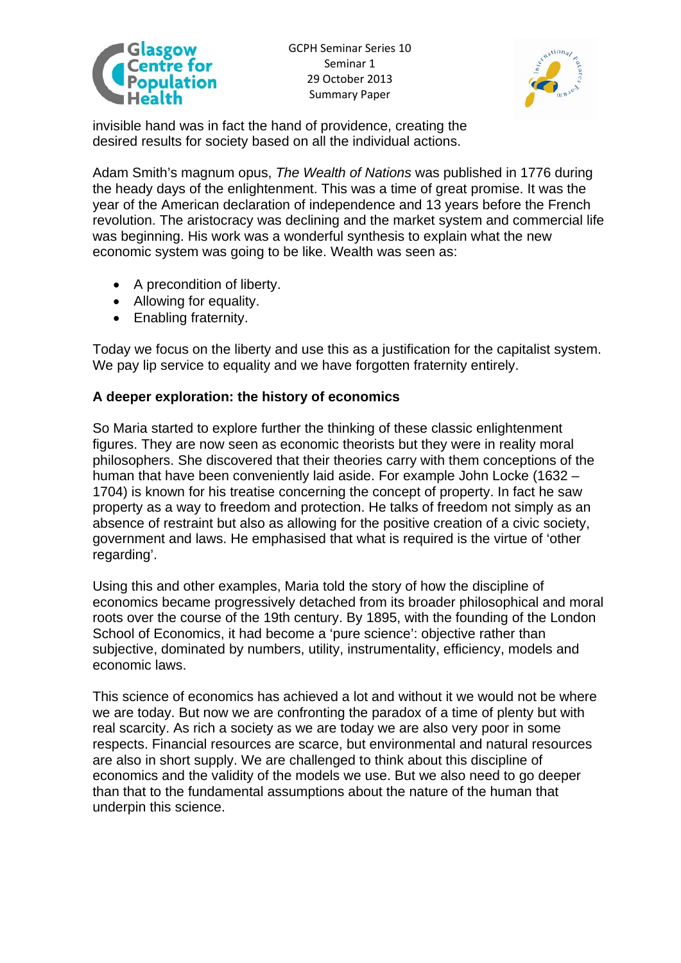



invisible hand was in fact the hand of providence, creating the desired results for society based on all the individual actions.

Adam Smith's magnum opus, *The Wealth of Nations* was published in 1776 during the heady days of the enlightenment. This was a time of great promise. It was the year of the American declaration of independence and 13 years before the French revolution. The aristocracy was declining and the market system and commercial life was beginning. His work was a wonderful synthesis to explain what the new economic system was going to be like. Wealth was seen as:

- A precondition of liberty.
- Allowing for equality.
- Enabling fraternity.

Today we focus on the liberty and use this as a justification for the capitalist system. We pay lip service to equality and we have forgotten fraternity entirely.

### **A deeper exploration: the history of economics**

So Maria started to explore further the thinking of these classic enlightenment figures. They are now seen as economic theorists but they were in reality moral philosophers. She discovered that their theories carry with them conceptions of the human that have been conveniently laid aside. For example John Locke (1632 – 1704) is known for his treatise concerning the concept of property. In fact he saw property as a way to freedom and protection. He talks of freedom not simply as an absence of restraint but also as allowing for the positive creation of a civic society, government and laws. He emphasised that what is required is the virtue of 'other regarding'.

Using this and other examples, Maria told the story of how the discipline of economics became progressively detached from its broader philosophical and moral roots over the course of the 19th century. By 1895, with the founding of the London School of Economics, it had become a 'pure science': objective rather than subjective, dominated by numbers, utility, instrumentality, efficiency, models and economic laws.

This science of economics has achieved a lot and without it we would not be where we are today. But now we are confronting the paradox of a time of plenty but with real scarcity. As rich a society as we are today we are also very poor in some respects. Financial resources are scarce, but environmental and natural resources are also in short supply. We are challenged to think about this discipline of economics and the validity of the models we use. But we also need to go deeper than that to the fundamental assumptions about the nature of the human that underpin this science.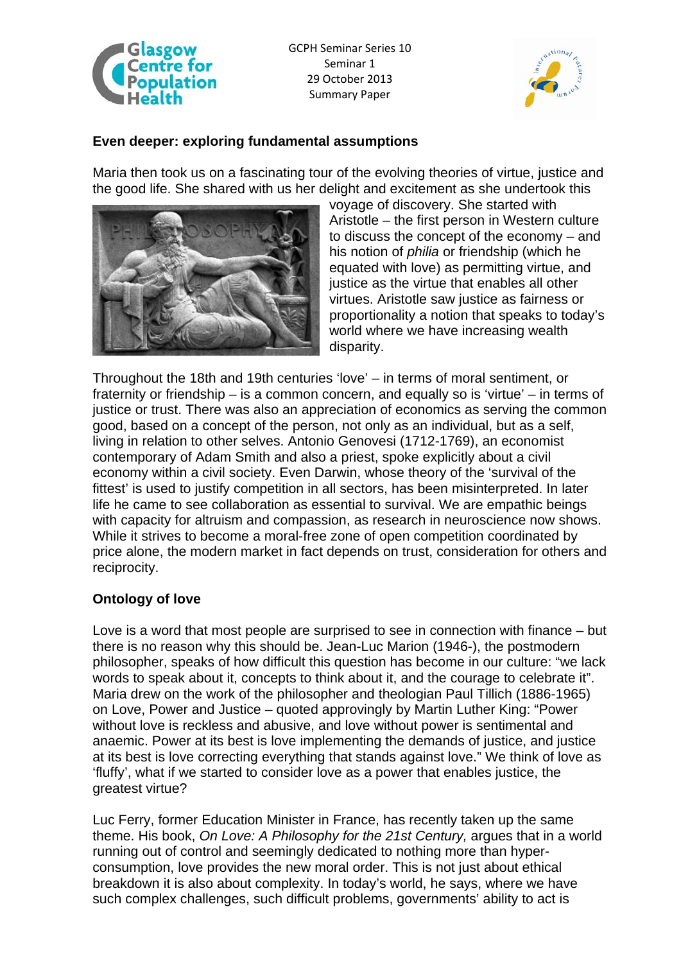

GCPH Seminar Series 10 Seminar 1 29 October 2013 Summary Paper



#### **Even deeper: exploring fundamental assumptions**

Maria then took us on a fascinating tour of the evolving theories of virtue, justice and the good life. She shared with us her delight and excitement as she undertook this



voyage of discovery. She started with Aristotle – the first person in Western culture to discuss the concept of the economy – and his notion of *philia* or friendship (which he equated with love) as permitting virtue, and justice as the virtue that enables all other virtues. Aristotle saw justice as fairness or proportionality a notion that speaks to today's world where we have increasing wealth disparity.

Throughout the 18th and 19th centuries 'love' – in terms of moral sentiment, or fraternity or friendship – is a common concern, and equally so is 'virtue' – in terms of justice or trust. There was also an appreciation of economics as serving the common good, based on a concept of the person, not only as an individual, but as a self, living in relation to other selves. Antonio Genovesi (1712-1769), an economist contemporary of Adam Smith and also a priest, spoke explicitly about a civil economy within a civil society. Even Darwin, whose theory of the 'survival of the fittest' is used to justify competition in all sectors, has been misinterpreted. In later life he came to see collaboration as essential to survival. We are empathic beings with capacity for altruism and compassion, as research in neuroscience now shows. While it strives to become a moral-free zone of open competition coordinated by price alone, the modern market in fact depends on trust, consideration for others and reciprocity.

## **Ontology of love**

Love is a word that most people are surprised to see in connection with finance – but there is no reason why this should be. Jean-Luc Marion (1946-), the postmodern philosopher, speaks of how difficult this question has become in our culture: "we lack words to speak about it, concepts to think about it, and the courage to celebrate it". Maria drew on the work of the philosopher and theologian Paul Tillich (1886-1965) on Love, Power and Justice – quoted approvingly by Martin Luther King: "Power without love is reckless and abusive, and love without power is sentimental and anaemic. Power at its best is love implementing the demands of justice, and justice at its best is love correcting everything that stands against love." We think of love as 'fluffy', what if we started to consider love as a power that enables justice, the greatest virtue?

Luc Ferry, former Education Minister in France, has recently taken up the same theme. His book, *On Love: A Philosophy for the 21st Century,* argues that in a world running out of control and seemingly dedicated to nothing more than hyperconsumption, love provides the new moral order. This is not just about ethical breakdown it is also about complexity. In today's world, he says, where we have such complex challenges, such difficult problems, governments' ability to act is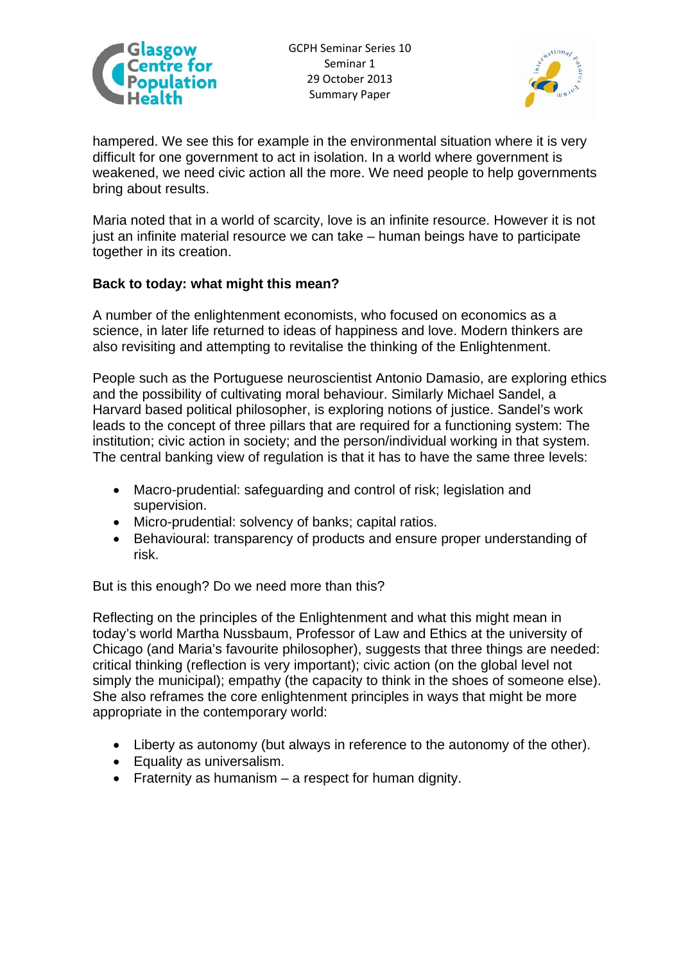



hampered. We see this for example in the environmental situation where it is very difficult for one government to act in isolation. In a world where government is weakened, we need civic action all the more. We need people to help governments bring about results.

Maria noted that in a world of scarcity, love is an infinite resource. However it is not just an infinite material resource we can take – human beings have to participate together in its creation.

### **Back to today: what might this mean?**

A number of the enlightenment economists, who focused on economics as a science, in later life returned to ideas of happiness and love. Modern thinkers are also revisiting and attempting to revitalise the thinking of the Enlightenment.

People such as the Portuguese neuroscientist Antonio Damasio, are exploring ethics and the possibility of cultivating moral behaviour. Similarly Michael Sandel, a Harvard based political philosopher, is exploring notions of justice. Sandel's work leads to the concept of three pillars that are required for a functioning system: The institution; civic action in society; and the person/individual working in that system. The central banking view of regulation is that it has to have the same three levels:

- Macro-prudential: safeguarding and control of risk; legislation and supervision.
- Micro-prudential: solvency of banks; capital ratios.
- Behavioural: transparency of products and ensure proper understanding of risk.

But is this enough? Do we need more than this?

Reflecting on the principles of the Enlightenment and what this might mean in today's world Martha Nussbaum, Professor of Law and Ethics at the university of Chicago (and Maria's favourite philosopher), suggests that three things are needed: critical thinking (reflection is very important); civic action (on the global level not simply the municipal); empathy (the capacity to think in the shoes of someone else). She also reframes the core enlightenment principles in ways that might be more appropriate in the contemporary world:

- Liberty as autonomy (but always in reference to the autonomy of the other).
- Equality as universalism.
- Fraternity as humanism  $-$  a respect for human dignity.